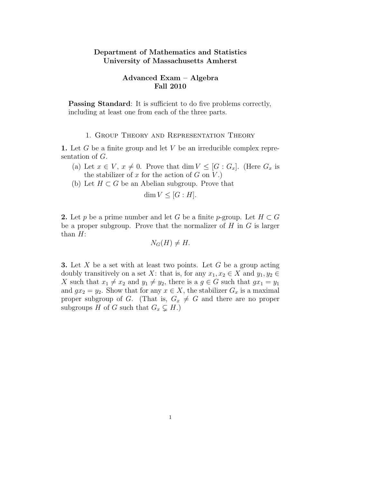## Department of Mathematics and Statistics University of Massachusetts Amherst

### Advanced Exam – Algebra Fall 2010

Passing Standard: It is sufficient to do five problems correctly, including at least one from each of the three parts.

### 1. Group Theory and Representation Theory

1. Let  $G$  be a finite group and let  $V$  be an irreducible complex representation of G.

- (a) Let  $x \in V$ ,  $x \neq 0$ . Prove that dim  $V \leq [G : G_x]$ . (Here  $G_x$  is the stabilizer of x for the action of  $G$  on  $V$ .)
- (b) Let  $H \subset G$  be an Abelian subgroup. Prove that

$$
\dim V \leq [G:H].
$$

2. Let p be a prime number and let G be a finite p-group. Let  $H \subset G$ be a proper subgroup. Prove that the normalizer of  $H$  in  $G$  is larger than  $H$ :

$$
N_G(H) \neq H.
$$

**3.** Let X be a set with at least two points. Let G be a group acting doubly transitively on a set X: that is, for any  $x_1, x_2 \in X$  and  $y_1, y_2 \in Y$ X such that  $x_1 \neq x_2$  and  $y_1 \neq y_2$ , there is a  $g \in G$  such that  $gx_1 = y_1$ and  $gx_2 = y_2$ . Show that for any  $x \in X$ , the stabilizer  $G_x$  is a maximal proper subgroup of G. (That is,  $G_x \neq G$  and there are no proper subgroups H of G such that  $G_x \subsetneq H$ .)